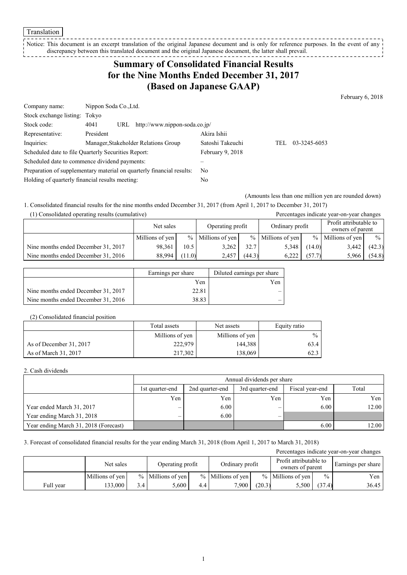Translation

Notice: This document is an excerpt translation of the original Japanese document and is only for reference purposes. In the event of any discrepancy between this translated document and the original Japanese document, the latter shall prevail. 

# **Summary of Consolidated Financial Results for the Nine Months Ended December 31, 2017 (Based on Japanese GAAP)**

February 6, 2018

| Company name:                                                         |           | Nippon Soda Co., Ltd.                |                                      |                  |     |              |  |
|-----------------------------------------------------------------------|-----------|--------------------------------------|--------------------------------------|------------------|-----|--------------|--|
| Stock exchange listing: Tokyo                                         |           |                                      |                                      |                  |     |              |  |
| Stock code:                                                           | 4041      | http://www.nippon-soda.co.jp/<br>URL |                                      |                  |     |              |  |
| Representative:                                                       | President |                                      |                                      | Akira Ishii      |     |              |  |
| Inquiries:                                                            |           |                                      | Manager, Stakeholder Relations Group | Satoshi Takeuchi | TEL | 03-3245-6053 |  |
| Scheduled date to file Quarterly Securities Report:                   |           |                                      | February 9, 2018                     |                  |     |              |  |
| Scheduled date to commence dividend payments:                         |           |                                      |                                      |                  |     |              |  |
| Preparation of supplementary material on quarterly financial results: |           |                                      |                                      | N <sub>0</sub>   |     |              |  |
| Holding of quarterly financial results meeting:                       |           |                                      | No                                   |                  |     |              |  |

(Amounts less than one million yen are rounded down)

1. Consolidated financial results for the nine months ended December 31, 2017 (from April 1, 2017 to December 31, 2017) (1) Consolidated operating results (cumulative) Percentages indicate year-on-year changes

| r i i Consonuateu operating results (cumulative) |                 |                                     |                     |        |                                            |        | I creentages mureate year-on-year enamges |               |
|--------------------------------------------------|-----------------|-------------------------------------|---------------------|--------|--------------------------------------------|--------|-------------------------------------------|---------------|
|                                                  | Net sales       | Ordinary profit<br>Operating profit |                     |        | Profit attributable to<br>owners of parent |        |                                           |               |
|                                                  | Millions of yen |                                     | $%$ Millions of yen |        | $%$ Millions of yen                        |        | $%$ Millions of yen                       | $\frac{0}{0}$ |
| Nine months ended December 31, 2017              | 98.361          | 10.5                                | 3,262               | 32.7   | 5,348                                      | (14.0) | 3,442                                     | (42.3)        |
| Nine months ended December 31, 2016              | 88.994          | (11.0)                              | 2,457               | (44.3) | 6.222                                      | (57.7) | 5,966                                     | (54.8)        |

|                                     | Earnings per share | Diluted earnings per share |
|-------------------------------------|--------------------|----------------------------|
|                                     | Yen                | Yen                        |
| Nine months ended December 31, 2017 | 22.81              |                            |
| Nine months ended December 31, 2016 | 38.83              |                            |

#### (2) Consolidated financial position

|                         | Total assets<br>Net assets |                 | Equity ratio  |
|-------------------------|----------------------------|-----------------|---------------|
|                         | Millions of yen            | Millions of yen | $\frac{0}{0}$ |
| As of December 31, 2017 | 222,979                    | 144,388         | 63.4          |
| As of March 31, 2017    | 217,302                    | 138.069         | 62.3          |

#### 2. Cash dividends

|                                       |                 | Annual dividends per share |                 |                 |       |  |  |  |  |
|---------------------------------------|-----------------|----------------------------|-----------------|-----------------|-------|--|--|--|--|
|                                       | 1st quarter-end | 2nd quarter-end            | 3rd quarter-end | Fiscal year-end | Total |  |  |  |  |
|                                       | Yen             | Yen                        | Yen             | Yen             | Yen   |  |  |  |  |
| Year ended March 31, 2017             |                 | 6.00                       |                 | 6.00            | 12.00 |  |  |  |  |
| Year ending March 31, 2018            |                 | 6.00                       | -               |                 |       |  |  |  |  |
| Year ending March 31, 2018 (Forecast) |                 |                            |                 | 6.00            | 12.00 |  |  |  |  |

### 3. Forecast of consolidated financial results for the year ending March 31, 2018 (from April 1, 2017 to March 31, 2018)

| Percentages indicate year-on-year changes |                 |                  |                     |     |                     |        |                                            |               |                    |
|-------------------------------------------|-----------------|------------------|---------------------|-----|---------------------|--------|--------------------------------------------|---------------|--------------------|
|                                           | Net sales       |                  | Operating profit    |     | Ordinary profit     |        | Profit attributable to<br>owners of parent |               | Earnings per share |
|                                           | Millions of yen |                  | $%$ Millions of yen |     | $%$ Millions of yen |        | $%$ Millions of yen                        | $\frac{0}{0}$ | Yen                |
| Full year                                 | 33,000          | 3.4 <sub>1</sub> | 5.600               | 4.4 | 7.900 1             | (20.3) | 5,500                                      | (37.4)        | 36.45              |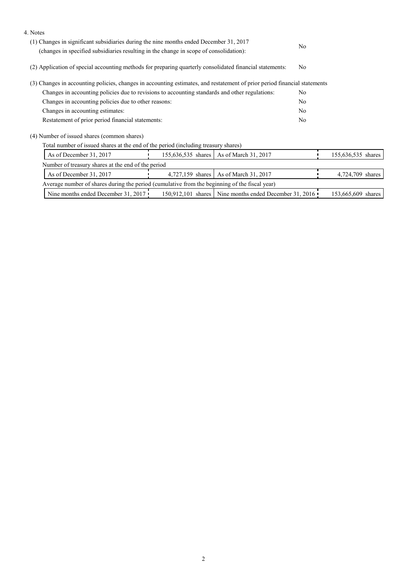| 4. Notes                                                                                                                  |                                                                                        |                                                        |                |                    |  |
|---------------------------------------------------------------------------------------------------------------------------|----------------------------------------------------------------------------------------|--------------------------------------------------------|----------------|--------------------|--|
|                                                                                                                           | (1) Changes in significant subsidiaries during the nine months ended December 31, 2017 |                                                        |                |                    |  |
| (changes in specified subsidiaries resulting in the change in scope of consolidation):                                    |                                                                                        |                                                        |                |                    |  |
| (2) Application of special accounting methods for preparing quarterly consolidated financial statements:                  |                                                                                        |                                                        | No             |                    |  |
| (3) Changes in accounting policies, changes in accounting estimates, and restatement of prior period financial statements |                                                                                        |                                                        |                |                    |  |
| Changes in accounting policies due to revisions to accounting standards and other regulations:                            |                                                                                        |                                                        |                |                    |  |
| Changes in accounting policies due to other reasons:                                                                      |                                                                                        |                                                        |                |                    |  |
| Changes in accounting estimates:                                                                                          |                                                                                        |                                                        |                |                    |  |
| Restatement of prior period financial statements:                                                                         |                                                                                        |                                                        | N <sub>0</sub> |                    |  |
| (4) Number of issued shares (common shares)                                                                               |                                                                                        |                                                        |                |                    |  |
| Total number of issued shares at the end of the period (including treasury shares)                                        |                                                                                        |                                                        |                |                    |  |
| As of December 31, 2017                                                                                                   |                                                                                        | 155,636,535 shares   As of March 31, 2017              |                | 155,636,535 shares |  |
| Number of treasury shares at the end of the period                                                                        |                                                                                        |                                                        |                |                    |  |
| As of December 31, 2017                                                                                                   |                                                                                        | 4,727,159 shares   As of March 31, 2017                |                | 4,724,709 shares   |  |
| Average number of shares during the period (cumulative from the beginning of the fiscal year)                             |                                                                                        |                                                        |                |                    |  |
| Nine months ended December 31, 2017                                                                                       |                                                                                        | 150,912,101 shares Nine months ended December 31, 2016 |                | 153,665,609 shares |  |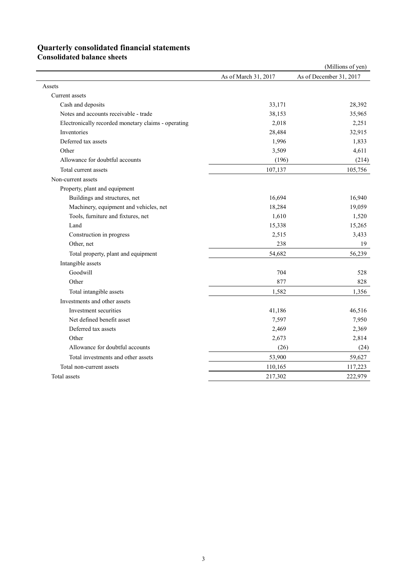# **Quarterly consolidated financial statements**

**Consolidated balance sheets** 

|                                                     |                      | (Millions of yen)       |
|-----------------------------------------------------|----------------------|-------------------------|
|                                                     | As of March 31, 2017 | As of December 31, 2017 |
| Assets                                              |                      |                         |
| Current assets                                      |                      |                         |
| Cash and deposits                                   | 33,171               | 28,392                  |
| Notes and accounts receivable - trade               | 38,153               | 35,965                  |
| Electronically recorded monetary claims - operating | 2,018                | 2,251                   |
| Inventories                                         | 28,484               | 32,915                  |
| Deferred tax assets                                 | 1,996                | 1,833                   |
| Other                                               | 3,509                | 4,611                   |
| Allowance for doubtful accounts                     | (196)                | (214)                   |
| Total current assets                                | 107,137              | 105,756                 |
| Non-current assets                                  |                      |                         |
| Property, plant and equipment                       |                      |                         |
| Buildings and structures, net                       | 16,694               | 16,940                  |
| Machinery, equipment and vehicles, net              | 18,284               | 19,059                  |
| Tools, furniture and fixtures, net                  | 1,610                | 1,520                   |
| Land                                                | 15,338               | 15,265                  |
| Construction in progress                            | 2,515                | 3,433                   |
| Other, net                                          | 238                  | 19                      |
| Total property, plant and equipment                 | 54,682               | 56,239                  |
| Intangible assets                                   |                      |                         |
| Goodwill                                            | 704                  | 528                     |
| Other                                               | 877                  | 828                     |
| Total intangible assets                             | 1,582                | 1,356                   |
| Investments and other assets                        |                      |                         |
| Investment securities                               | 41,186               | 46,516                  |
| Net defined benefit asset                           | 7,597                | 7,950                   |
| Deferred tax assets                                 | 2,469                | 2,369                   |
| Other                                               | 2,673                | 2,814                   |
| Allowance for doubtful accounts                     | (26)                 | (24)                    |
| Total investments and other assets                  | 53,900               | 59,627                  |
| Total non-current assets                            | 110,165              | 117,223                 |
| Total assets                                        | 217,302              | 222,979                 |
|                                                     |                      |                         |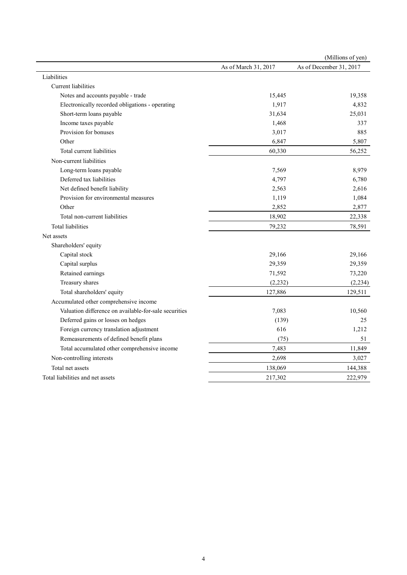|                                                       |                      | (Millions of yen)       |
|-------------------------------------------------------|----------------------|-------------------------|
|                                                       | As of March 31, 2017 | As of December 31, 2017 |
| Liabilities                                           |                      |                         |
| Current liabilities                                   |                      |                         |
| Notes and accounts payable - trade                    | 15,445               | 19,358                  |
| Electronically recorded obligations - operating       | 1,917                | 4,832                   |
| Short-term loans payable                              | 31,634               | 25,031                  |
| Income taxes payable                                  | 1,468                | 337                     |
| Provision for bonuses                                 | 3,017                | 885                     |
| Other                                                 | 6,847                | 5,807                   |
| Total current liabilities                             | 60,330               | 56,252                  |
| Non-current liabilities                               |                      |                         |
| Long-term loans payable                               | 7,569                | 8,979                   |
| Deferred tax liabilities                              | 4,797                | 6,780                   |
| Net defined benefit liability                         | 2,563                | 2,616                   |
| Provision for environmental measures                  | 1,119                | 1,084                   |
| Other                                                 | 2,852                | 2,877                   |
| Total non-current liabilities                         | 18,902               | 22,338                  |
| <b>Total liabilities</b>                              | 79,232               | 78,591                  |
| Net assets                                            |                      |                         |
| Shareholders' equity                                  |                      |                         |
| Capital stock                                         | 29,166               | 29,166                  |
| Capital surplus                                       | 29,359               | 29,359                  |
| Retained earnings                                     | 71,592               | 73,220                  |
| Treasury shares                                       | (2, 232)             | (2, 234)                |
| Total shareholders' equity                            | 127,886              | 129,511                 |
| Accumulated other comprehensive income                |                      |                         |
| Valuation difference on available-for-sale securities | 7,083                | 10,560                  |
| Deferred gains or losses on hedges                    | (139)                | 25                      |
| Foreign currency translation adjustment               | 616                  | 1,212                   |
| Remeasurements of defined benefit plans               | (75)                 | 51                      |
| Total accumulated other comprehensive income          | 7,483                | 11,849                  |
| Non-controlling interests                             | 2,698                | 3,027                   |
| Total net assets                                      | 138,069              | 144,388                 |
| Total liabilities and net assets                      | 217,302              | 222,979                 |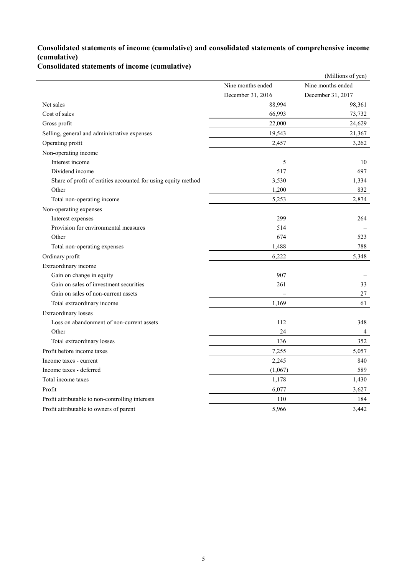### **Consolidated statements of income (cumulative) and consolidated statements of comprehensive income (cumulative)**

**Consolidated statements of income (cumulative)**

|                                                               |                   | (Millions of yen) |
|---------------------------------------------------------------|-------------------|-------------------|
|                                                               | Nine months ended | Nine months ended |
|                                                               | December 31, 2016 | December 31, 2017 |
| Net sales                                                     | 88,994            | 98,361            |
| Cost of sales                                                 | 66,993            | 73,732            |
| Gross profit                                                  | 22,000            | 24,629            |
| Selling, general and administrative expenses                  | 19,543            | 21,367            |
| Operating profit                                              | 2,457             | 3,262             |
| Non-operating income                                          |                   |                   |
| Interest income                                               | 5                 | 10                |
| Dividend income                                               | 517               | 697               |
| Share of profit of entities accounted for using equity method | 3,530             | 1,334             |
| Other                                                         | 1,200             | 832               |
| Total non-operating income                                    | 5,253             | 2,874             |
| Non-operating expenses                                        |                   |                   |
| Interest expenses                                             | 299               | 264               |
| Provision for environmental measures                          | 514               |                   |
| Other                                                         | 674               | 523               |
| Total non-operating expenses                                  | 1,488             | 788               |
| Ordinary profit                                               | 6,222             | 5,348             |
| Extraordinary income                                          |                   |                   |
| Gain on change in equity                                      | 907               |                   |
| Gain on sales of investment securities                        | 261               | 33                |
| Gain on sales of non-current assets                           |                   | 27                |
| Total extraordinary income                                    | 1,169             | 61                |
| Extraordinary losses                                          |                   |                   |
| Loss on abandonment of non-current assets                     | 112               | 348               |
| Other                                                         | 24                | 4                 |
| Total extraordinary losses                                    | 136               | 352               |
| Profit before income taxes                                    | 7,255             | 5,057             |
| Income taxes - current                                        | 2,245             | 840               |
| Income taxes - deferred                                       | (1,067)           | 589               |
| Total income taxes                                            | 1,178             | 1,430             |
| Profit                                                        | 6,077             | 3,627             |
| Profit attributable to non-controlling interests              | 110               | 184               |
| Profit attributable to owners of parent                       | 5,966             | 3,442             |